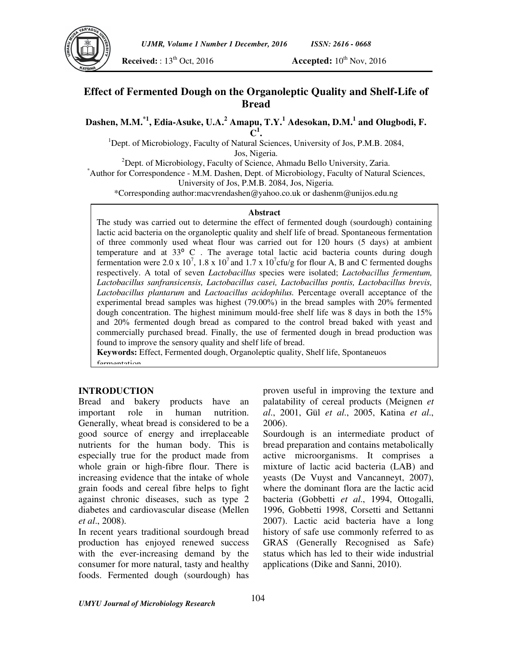

*UJMR, Volume 1 Number 1 December, 2016 ISSN: 2616 - 0668*

**Received:** : 13<sup>th</sup> Oct, 2016 **Accepted:** 10<sup>th</sup> Nov, 2016

## **Effect of Fermented Dough on the Organoleptic Quality and Shelf-Life of Bread**

**Dashen, M.M.\*1, Edia-Asuke, U.A.<sup>2</sup> Amapu, T.Y.<sup>1</sup> Adesokan, D.M.<sup>1</sup> and Olugbodi, F. 1**

**C .** 

<sup>1</sup>Dept. of Microbiology, Faculty of Natural Sciences, University of Jos, P.M.B. 2084,

Jos, Nigeria.

<sup>2</sup>Dept. of Microbiology, Faculty of Science, Ahmadu Bello University, Zaria.

\*Author for Correspondence - M.M. Dashen, Dept. of Microbiology, Faculty of Natural Sciences, University of Jos, P.M.B. 2084, Jos, Nigeria.

\*Corresponding author:macvrendashen@yahoo.co.uk or dashenm@unijos.edu.ng

#### **Abstract**

The study was carried out to determine the effect of fermented dough (sourdough) containing lactic acid bacteria on the organoleptic quality and shelf life of bread. Spontaneous fermentation of three commonly used wheat flour was carried out for 120 hours (5 days) at ambient temperature and at 33° C. The average total lactic acid bacteria counts during dough fermentation were 2.0 x  $10^7$ , 1.8 x  $10^7$  and 1.7 x  $10^7$ cfu/g for flour A, B and C fermented doughs respectively. A total of seven *Lactobacillus* species were isolated; *Lactobacillus fermentum, Lactobacillus sanfransicensis, Lactobacillus casei, Lactobacillus pontis, Lactobacillus brevis, Lactobacillus plantarum* and *Lactoacillus acidophilus.* Percentage overall acceptance of the experimental bread samples was highest (79.00%) in the bread samples with 20% fermented dough concentration. The highest minimum mould-free shelf life was 8 days in both the 15% and 20% fermented dough bread as compared to the control bread baked with yeast and commercially purchased bread. Finally, the use of fermented dough in bread production was found to improve the sensory quality and shelf life of bread.

**Keywords:** Effect, Fermented dough, Organoleptic quality, Shelf life, Spontaneuos fermentation

#### **INTRODUCTION**

Bread and bakery products have an important role in human nutrition. Generally, wheat bread is considered to be a good source of energy and irreplaceable nutrients for the human body. This is especially true for the product made from whole grain or high-fibre flour. There is increasing evidence that the intake of whole grain foods and cereal fibre helps to fight against chronic diseases, such as type 2 diabetes and cardiovascular disease (Mellen *et al*., 2008).

In recent years traditional sourdough bread production has enjoyed renewed success with the ever-increasing demand by the consumer for more natural, tasty and healthy foods. Fermented dough (sourdough) has

proven useful in improving the texture and palatability of cereal products (Meignen *et al*., 2001, Gül *et al*., 2005, Katina *et al*., 2006).

Sourdough is an intermediate product of bread preparation and contains metabolically active microorganisms. It comprises a mixture of lactic acid bacteria (LAB) and yeasts (De Vuyst and Vancanneyt, 2007), where the dominant flora are the lactic acid bacteria (Gobbetti *et al*., 1994, Ottogalli, 1996, Gobbetti 1998, Corsetti and Settanni 2007). Lactic acid bacteria have a long history of safe use commonly referred to as GRAS (Generally Recognised as Safe) status which has led to their wide industrial applications (Dike and Sanni, 2010).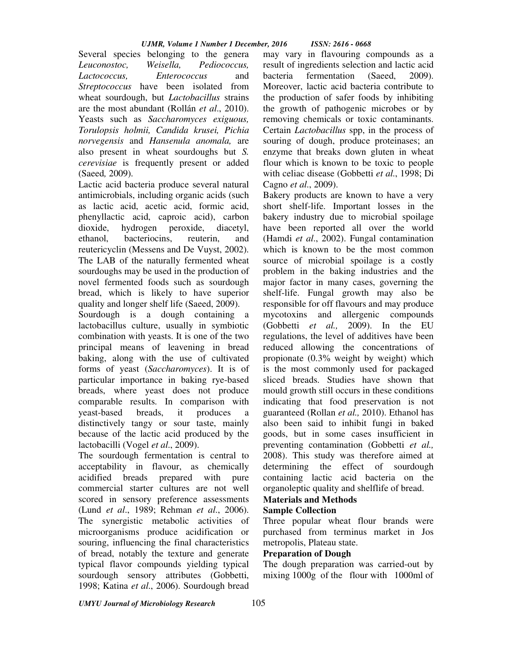Several species belonging to the genera *Leuconostoc, Weisella, Pediococcus, Lactococcus, Enterococcus* and *Streptococcus* have been isolated from wheat sourdough, but *Lactobacillus* strains are the most abundant (Rollán *et al*., 2010). Yeasts such as *Saccharomyces exiguous, Torulopsis holmii, Candida krusei, Pichia norvegensis* and *Hansenula anomala,* are also present in wheat sourdoughs but *S. cerevisiae* is frequently present or added (Saeed*,* 2009).

Lactic acid bacteria produce several natural antimicrobials, including organic acids (such as lactic acid, acetic acid, formic acid, phenyllactic acid, caproic acid), carbon dioxide, hydrogen peroxide, diacetyl, ethanol, bacteriocins, reuterin, and reutericyclin (Messens and De Vuyst, 2002). The LAB of the naturally fermented wheat sourdoughs may be used in the production of novel fermented foods such as sourdough bread, which is likely to have superior quality and longer shelf life (Saeed, 2009).

Sourdough is a dough containing a lactobacillus culture, usually in symbiotic combination with yeasts. It is one of the two principal means of leavening in bread baking, along with the use of cultivated forms of yeast (*Saccharomyces*). It is of particular importance in baking rye-based breads, where yeast does not produce comparable results. In comparison with yeast-based breads, it produces a distinctively tangy or sour taste, mainly because of the lactic acid produced by the lactobacilli (Vogel *et al*., 2009).

The sourdough fermentation is central to acceptability in flavour, as chemically acidified breads prepared with pure commercial starter cultures are not well scored in sensory preference assessments (Lund *et al*., 1989; Rehman *et al*., 2006). The synergistic metabolic activities of microorganisms produce acidification or souring, influencing the final characteristics of bread, notably the texture and generate typical flavor compounds yielding typical sourdough sensory attributes (Gobbetti, 1998; Katina *et al*., 2006). Sourdough bread

may vary in flavouring compounds as a result of ingredients selection and lactic acid bacteria fermentation (Saeed, 2009). Moreover, lactic acid bacteria contribute to the production of safer foods by inhibiting the growth of pathogenic microbes or by removing chemicals or toxic contaminants. Certain *Lactobacillus* spp, in the process of souring of dough, produce proteinases; an enzyme that breaks down gluten in wheat flour which is known to be toxic to people with celiac disease (Gobbetti *et al*., 1998; Di Cagno *et al*., 2009).

Bakery products are known to have a very short shelf-life. Important losses in the bakery industry due to microbial spoilage have been reported all over the world (Hamdi *et al*., 2002). Fungal contamination which is known to be the most common source of microbial spoilage is a costly problem in the baking industries and the major factor in many cases, governing the shelf-life. Fungal growth may also be responsible for off flavours and may produce mycotoxins and allergenic compounds (Gobbetti *et al.,* 2009). In the EU regulations, the level of additives have been reduced allowing the concentrations of propionate (0.3% weight by weight) which is the most commonly used for packaged sliced breads. Studies have shown that mould growth still occurs in these conditions indicating that food preservation is not guaranteed (Rollan *et al.,* 2010). Ethanol has also been said to inhibit fungi in baked goods, but in some cases insufficient in preventing contamination (Gobbetti *et al.,* 2008). This study was therefore aimed at determining the effect of sourdough containing lactic acid bacteria on the organoleptic quality and shelflife of bread.

## **Materials and Methods**

### **Sample Collection**

Three popular wheat flour brands were purchased from terminus market in Jos metropolis, Plateau state.

### **Preparation of Dough**

The dough preparation was carried-out by mixing 1000g of the flour with 1000ml of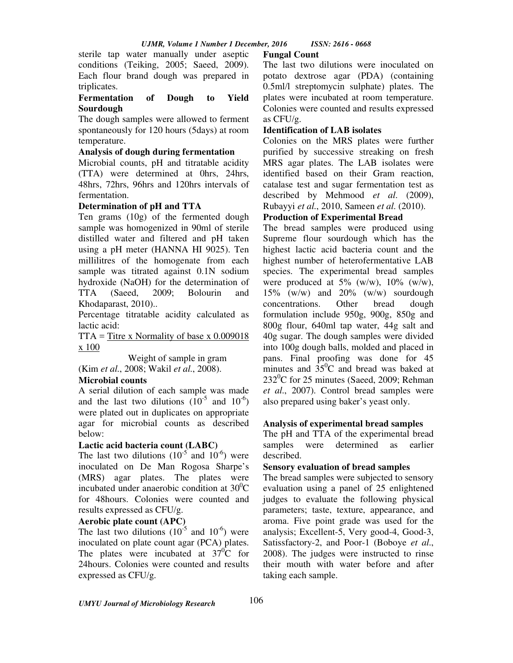sterile tap water manually under aseptic conditions (Teiking, 2005; Saeed, 2009). Each flour brand dough was prepared in triplicates.

### **Fermentation of Dough to Yield Sourdough**

The dough samples were allowed to ferment spontaneously for 120 hours (5days) at room temperature.

### **Analysis of dough during fermentation**

Microbial counts, pH and titratable acidity (TTA) were determined at 0hrs, 24hrs, 48hrs, 72hrs, 96hrs and 120hrs intervals of fermentation.

### **Determination of pH and TTA**

Ten grams (10g) of the fermented dough sample was homogenized in 90ml of sterile distilled water and filtered and pH taken using a pH meter (HANNA HI 9025). Ten millilitres of the homogenate from each sample was titrated against 0.1N sodium hydroxide (NaOH) for the determination of TTA (Saeed, 2009; Bolourin and Khodaparast, 2010)..

Percentage titratable acidity calculated as lactic acid:

 $TTA = T$  itre x Normality of base x 0.009018 x 100

 Weight of sample in gram (Kim *et al*., 2008; Wakil *et al*., 2008).

# **Microbial counts**

A serial dilution of each sample was made and the last two dilutions  $(10^{-5} \text{ and } 10^{-6})$ were plated out in duplicates on appropriate agar for microbial counts as described below:

#### **Lactic acid bacteria count (LABC)**

The last two dilutions  $(10^{-5}$  and  $10^{-6})$  were inoculated on De Man Rogosa Sharpe's (MRS) agar plates. The plates were incubated under anaerobic condition at  $30^0C$ for 48hours. Colonies were counted and results expressed as CFU/g.

#### **Aerobic plate count (APC)**

The last two dilutions  $(10^{-5}$  and  $10^{-6})$  were inoculated on plate count agar (PCA) plates. The plates were incubated at  $37^0C$  for 24hours. Colonies were counted and results expressed as CFU/g.

#### **Fungal Count**

The last two dilutions were inoculated on potato dextrose agar (PDA) (containing 0.5ml/l streptomycin sulphate) plates. The plates were incubated at room temperature. Colonies were counted and results expressed as CFU/g.

#### **Identification of LAB isolates**

Colonies on the MRS plates were further purified by successive streaking on fresh MRS agar plates. The LAB isolates were identified based on their Gram reaction, catalase test and sugar fermentation test as described by Mehmood *et al*. (2009), Rubayyi *et al*., 2010, Sameen *et al*. (2010).

### **Production of Experimental Bread**

The bread samples were produced using Supreme flour sourdough which has the highest lactic acid bacteria count and the highest number of heterofermentative LAB species. The experimental bread samples were produced at  $5\%$  (w/w),  $10\%$  (w/w),  $15\%$  (w/w) and  $20\%$  (w/w) sourdough concentrations. Other bread dough formulation include 950g, 900g, 850g and 800g flour, 640ml tap water, 44g salt and 40g sugar. The dough samples were divided into 100g dough balls, molded and placed in pans. Final proofing was done for 45 minutes and  $35^{\circ}$ C and bread was baked at  $232^{\circ}$ C for 25 minutes (Saeed, 2009; Rehman *et al*., 2007). Control bread samples were also prepared using baker's yeast only.

#### **Analysis of experimental bread samples**

The pH and TTA of the experimental bread samples were determined as earlier described.

#### **Sensory evaluation of bread samples**

The bread samples were subjected to sensory evaluation using a panel of 25 enlightened judges to evaluate the following physical parameters; taste, texture, appearance, and aroma. Five point grade was used for the analysis; Excellent-5, Very good-4, Good-3, Satissfactory-2, and Poor-1 (Boboye *et al*., 2008). The judges were instructed to rinse their mouth with water before and after taking each sample.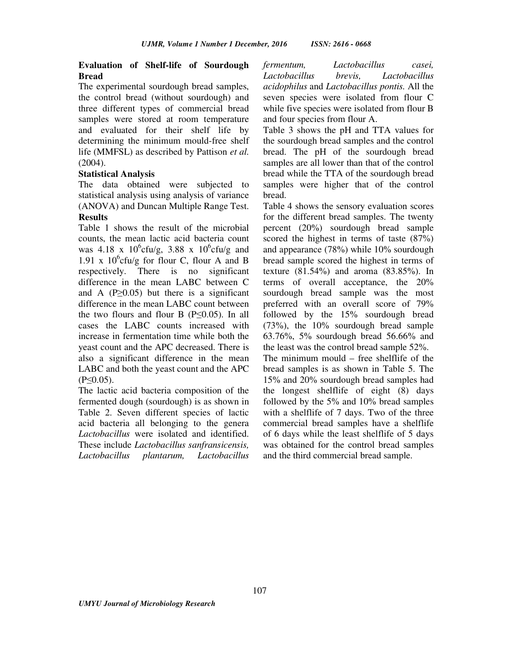#### **Evaluation of Shelf-life of Sourdough Bread**

The experimental sourdough bread samples, the control bread (without sourdough) and three different types of commercial bread samples were stored at room temperature and evaluated for their shelf life by determining the minimum mould-free shelf life (MMFSL) as described by Pattison *et al*. (2004).

#### **Statistical Analysis**

The data obtained were subjected to statistical analysis using analysis of variance (ANOVA) and Duncan Multiple Range Test.

### **Results**

Table 1 shows the result of the microbial counts, the mean lactic acid bacteria count was 4.18 x  $10^{6}$ cfu/g, 3.88 x  $10^{6}$ cfu/g and 1.91 x  $10^6$ cfu/g for flour C, flour A and B respectively. There is no significant difference in the mean LABC between C and A ( $P \ge 0.05$ ) but there is a significant difference in the mean LABC count between the two flours and flour B  $(P \le 0.05)$ . In all cases the LABC counts increased with increase in fermentation time while both the yeast count and the APC decreased. There is also a significant difference in the mean LABC and both the yeast count and the APC (P≤0.05).

The lactic acid bacteria composition of the fermented dough (sourdough) is as shown in Table 2. Seven different species of lactic acid bacteria all belonging to the genera *Lactobacillus* were isolated and identified. These include *Lactobacillus sanfransicensis, Lactobacillus plantarum, Lactobacillus* 

*fermentum, Lactobacillus casei, Lactobacillus brevis, Lactobacillus acidophilus* and *Lactobacillus pontis.* All the seven species were isolated from flour C while five species were isolated from flour B and four species from flour A.

Table 3 shows the pH and TTA values for the sourdough bread samples and the control bread. The pH of the sourdough bread samples are all lower than that of the control bread while the TTA of the sourdough bread samples were higher that of the control bread.

Table 4 shows the sensory evaluation scores for the different bread samples. The twenty percent (20%) sourdough bread sample scored the highest in terms of taste (87%) and appearance (78%) while 10% sourdough bread sample scored the highest in terms of texture (81.54%) and aroma (83.85%). In terms of overall acceptance, the 20% sourdough bread sample was the most preferred with an overall score of 79% followed by the 15% sourdough bread (73%), the 10% sourdough bread sample 63.76%, 5% sourdough bread 56.66% and the least was the control bread sample 52%. The minimum mould – free shelflife of the bread samples is as shown in Table 5. The 15% and 20% sourdough bread samples had the longest shelflife of eight (8) days followed by the 5% and 10% bread samples with a shelflife of 7 days. Two of the three commercial bread samples have a shelflife of 6 days while the least shelflife of 5 days was obtained for the control bread samples and the third commercial bread sample.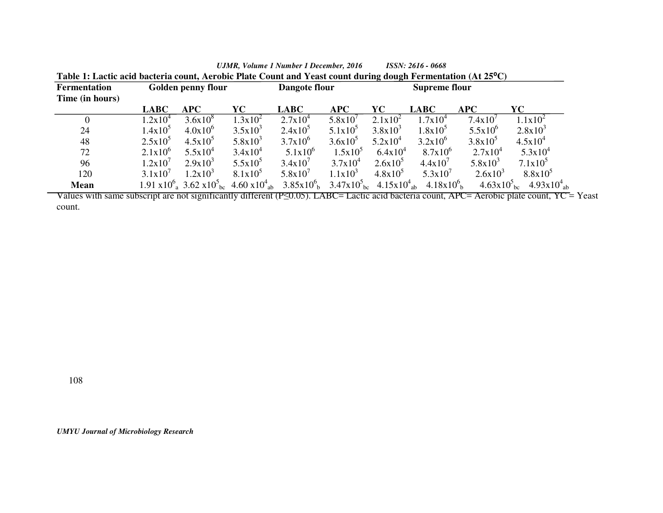| Table 1: Lactic acid bacteria count, Aerobic Plate Count and Yeast count during dough Fermentation (At 25 <sup>o</sup> C) |                    |                                                                              |               |              |                      |            |                                                                                                               |                                    |                             |
|---------------------------------------------------------------------------------------------------------------------------|--------------------|------------------------------------------------------------------------------|---------------|--------------|----------------------|------------|---------------------------------------------------------------------------------------------------------------|------------------------------------|-----------------------------|
| <b>Fermentation</b>                                                                                                       | Golden penny flour |                                                                              | Dangote flour |              | <b>Supreme flour</b> |            |                                                                                                               |                                    |                             |
| Time (in hours)                                                                                                           |                    |                                                                              |               |              |                      |            |                                                                                                               |                                    |                             |
|                                                                                                                           | <b>LABC</b>        | <b>APC</b>                                                                   | YC-           | <b>LABC</b>  | APC                  | YC.        | <b>LABC</b>                                                                                                   | <b>APC</b>                         | YC-                         |
| $\theta$                                                                                                                  | $1.2x10^4$         | $3.6x10^{8}$                                                                 | $1.3x10^2$    | $2.7x10^4$   | 5.8x10'              | $2.1x10^2$ | $1.7x10^4$                                                                                                    | 7.4x10'                            | $1.1x10^2$                  |
| 24                                                                                                                        | $1.4x10^3$         | $4.0x10^{6}$                                                                 | $3.5x10^3$    | $2.4x10^5$   | $5.1x10^3$           | $3.8x10^3$ | $1.8x10^5$                                                                                                    | $5.5x10^{6}$                       | $2.8x10^3$                  |
| 48                                                                                                                        | $2.5x10^5$         | $4.5x10^5$                                                                   | $5.8x10^3$    | $3.7x10^{6}$ | $3.6x10^3$           | $5.2x10^4$ | $3.2x10^{6}$                                                                                                  | $3.8x10^5$                         | $4.5x10^{4}$                |
| 72                                                                                                                        | $2.1x10^{6}$       | $5.5x10^{4}$                                                                 | $3.4x10^4$    | $5.1x10^{6}$ | $1.5x10^5$           | $6.4x10^4$ | $8.7x10^{6}$                                                                                                  | $2.7x10^4$                         | $5.3x10^4$                  |
| 96                                                                                                                        | 1.2x10'            | $2.9x10^3$                                                                   | $5.5x10^5$    | $3.4x10^{7}$ | $3.7x10^4$           | $2.6x10^5$ | 4.4x10'                                                                                                       | $5.8x10^3$                         | $7.1x10^5$                  |
| 120                                                                                                                       | 3.1x10'            | $1.2x10^3$                                                                   | $8.1x10^5$    | $5.8x10^{7}$ | $1.1x10^3$           | $4.8x10^5$ | $5.3x10^{7}$                                                                                                  | $2.6x10^{3}$                       | $8.8x10^5$                  |
| <b>Mean</b>                                                                                                               |                    | $1.91 \times 10^{6}$ $3.62 \times 10^{5}$ kg $4.60 \times 10^{4}$ kg $^{-1}$ |               |              |                      |            | $3.85x10^{6}$ <sub>b</sub> $3.47x10^{5}$ <sub>bc</sub> $4.15x10^{4}$ <sub>ab</sub> $4.18x10^{6}$ <sub>b</sub> | $4.63 \times 10^{3}$ <sub>bc</sub> | $4.93x10^{4}$ <sub>ab</sub> |

*UJMR, Volume 1 Number 1 December, 2016 ISSN: 2616 - 0668*

Values with same subscript are not significantly different (P≤0.05). LABC= Lactic acid bacteria count, APC= Aerobic plate count, YC = Yeast count.

108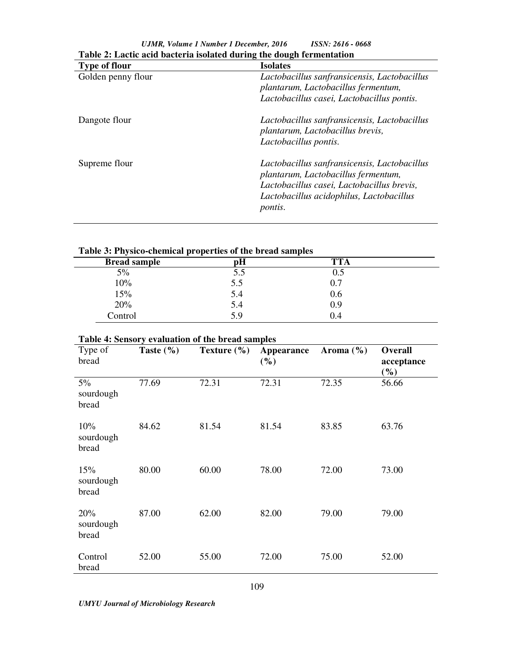| Table 2. Eacht acht bachel is isolaich uil mg the uough fel mentation |                                                                                                                                                                                                 |  |  |  |
|-----------------------------------------------------------------------|-------------------------------------------------------------------------------------------------------------------------------------------------------------------------------------------------|--|--|--|
| <b>Type of flour</b>                                                  | <b>Isolates</b>                                                                                                                                                                                 |  |  |  |
| Golden penny flour                                                    | Lactobacillus sanfransicensis, Lactobacillus<br>plantarum, Lactobacillus fermentum,<br>Lactobacillus casei, Lactobacillus pontis.                                                               |  |  |  |
| Dangote flour                                                         | Lactobacillus sanfransicensis, Lactobacillus<br>plantarum, Lactobacillus brevis,<br>Lactobacillus pontis.                                                                                       |  |  |  |
| Supreme flour                                                         | Lactobacillus sanfransicensis, Lactobacillus<br>plantarum, Lactobacillus fermentum,<br>Lactobacillus casei, Lactobacillus brevis,<br>Lactobacillus acidophilus, Lactobacillus<br><i>pontis.</i> |  |  |  |

*UJMR, Volume 1 Number 1 December, 2016 ISSN: 2616 - 0668* **Table 2: Lactic acid bacteria isolated during the dough fermentation** 

## **Table 3: Physico-chemical properties of the bread samples**

| <b>Bread sample</b> | рH  | <b>TTA</b> |  |
|---------------------|-----|------------|--|
| 5%                  | J.J | U.J        |  |
| 10%                 | 5.5 | 0.7        |  |
| 15%                 | 5.4 | 0.6        |  |
| 20%                 | 5.4 | 0.9        |  |
| Control             | 5.9 | 0.4        |  |

## **Table 4: Sensory evaluation of the bread samples**

| Type of<br>bread            | Taste $(\% )$ | Texture $(\% )$ | Appearance<br>(%) | Aroma $(\% )$ | Overall<br>acceptance<br>$($ %) |
|-----------------------------|---------------|-----------------|-------------------|---------------|---------------------------------|
| $5\%$<br>sourdough<br>bread | 77.69         | 72.31           | 72.31             | 72.35         | 56.66                           |
| 10%<br>sourdough<br>bread   | 84.62         | 81.54           | 81.54             | 83.85         | 63.76                           |
| 15%<br>sourdough<br>bread   | 80.00         | 60.00           | 78.00             | 72.00         | 73.00                           |
| 20%<br>sourdough<br>bread   | 87.00         | 62.00           | 82.00             | 79.00         | 79.00                           |
| Control<br>bread            | 52.00         | 55.00           | 72.00             | 75.00         | 52.00                           |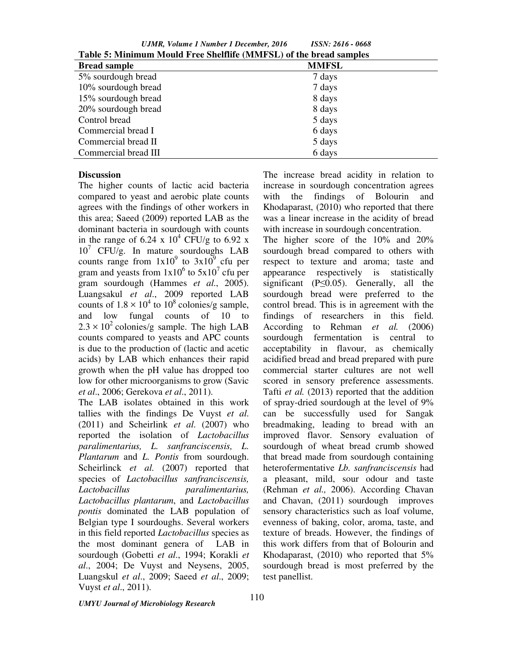*UJMR, Volume 1 Number 1 December, 2016 ISSN: 2616 - 0668*

| Table 5: Minimum Mould Free Shelflife (MMFSL) of the bread samples |              |  |  |  |
|--------------------------------------------------------------------|--------------|--|--|--|
| <b>Bread sample</b>                                                | <b>MMFSL</b> |  |  |  |
| 5% sourdough bread                                                 | 7 days       |  |  |  |
| 10% sourdough bread                                                | 7 days       |  |  |  |
| 15% sourdough bread                                                | 8 days       |  |  |  |
| 20% sourdough bread                                                | 8 days       |  |  |  |
| Control bread                                                      | 5 days       |  |  |  |
| Commercial bread I                                                 | 6 days       |  |  |  |
| Commercial bread II                                                | 5 days       |  |  |  |
| Commercial bread III                                               | 6 days       |  |  |  |

#### **Discussion**

The higher counts of lactic acid bacteria compared to yeast and aerobic plate counts agrees with the findings of other workers in this area; Saeed (2009) reported LAB as the dominant bacteria in sourdough with counts in the range of 6.24 x  $10^4$  CFU/g to 6.92 x 10<sup>7</sup> CFU/g. In mature sourdoughs LAB counts range from  $1x10^9$  to  $3x10^9$  cfu per gram and yeasts from  $1x10^6$  to  $5x10^7$  cfu per gram sourdough (Hammes *et al*., 2005). Luangsakul *et al*., 2009 reported LAB counts of  $1.8 \times 10^4$  to  $10^8$  colonies/g sample, and low fungal counts of 10 to  $2.3 \times 10^2$  colonies/g sample. The high LAB counts compared to yeasts and APC counts is due to the production of (lactic and acetic acids) by LAB which enhances their rapid growth when the pH value has dropped too low for other microorganisms to grow (Savic *et al*., 2006; Gerekova *et al*., 2011).

The LAB isolates obtained in this work tallies with the findings De Vuyst *et al*. (2011) and Scheirlink *et al*. (2007) who reported the isolation of *Lactobacillus paralimentarius, L. sanfranciscensis, L. Plantarum* and *L. Pontis* from sourdough. Scheirlinck *et al*. (2007) reported that species of *Lactobacillus sanfranciscensis, Lactobacillus paralimentarius, Lactobacillus plantarum*, and *Lactobacillus pontis* dominated the LAB population of Belgian type I sourdoughs. Several workers in this field reported *Lactobacillus* species as the most dominant genera of LAB in sourdough (Gobetti *et al*., 1994; Korakli *et al*., 2004; De Vuyst and Neysens, 2005, Luangskul *et al*., 2009; Saeed *et al*., 2009; Vuyst *et al*., 2011).

The increase bread acidity in relation to increase in sourdough concentration agrees with the findings of Bolourin and Khodaparast, (2010) who reported that there was a linear increase in the acidity of bread with increase in sourdough concentration.

The higher score of the 10% and 20% sourdough bread compared to others with respect to texture and aroma; taste and appearance respectively is statistically significant ( $P \leq 0.05$ ). Generally, all the sourdough bread were preferred to the control bread. This is in agreement with the findings of researchers in this field. According to Rehman *et al.* (2006) sourdough fermentation is central to acceptability in flavour, as chemically acidified bread and bread prepared with pure commercial starter cultures are not well scored in sensory preference assessments. Tafti *et al.* (2013) reported that the addition of spray-dried sourdough at the level of 9% can be successfully used for Sangak breadmaking, leading to bread with an improved flavor. Sensory evaluation of sourdough of wheat bread crumb showed that bread made from sourdough containing heterofermentative *Lb. sanfranciscensis* had a pleasant, mild, sour odour and taste (Rehman *et al.,* 2006). According Chavan and Chavan, (2011) sourdough improves sensory characteristics such as loaf volume, evenness of baking, color, aroma, taste, and texture of breads. However, the findings of this work differs from that of Bolourin and Khodaparast, (2010) who reported that 5% sourdough bread is most preferred by the test panellist.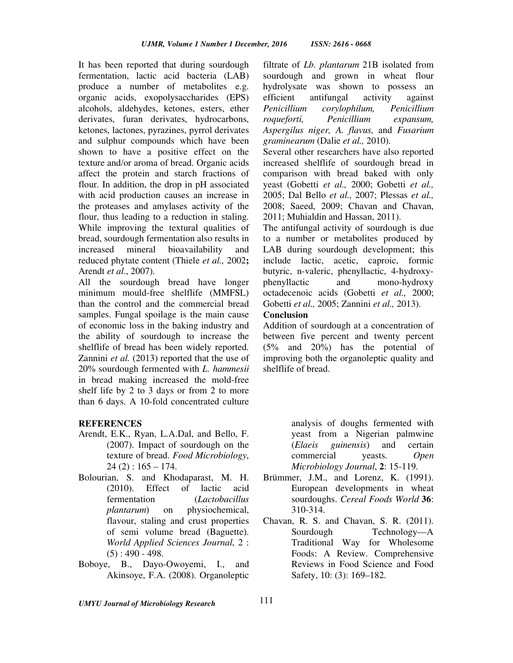It has been reported that during sourdough fermentation, lactic acid bacteria (LAB) produce a number of metabolites e.g. organic acids, exopolysaccharides (EPS) alcohols, aldehydes, ketones, esters, ether derivates, furan derivates, hydrocarbons, ketones, lactones, pyrazines, pyrrol derivates and sulphur compounds which have been shown to have a positive effect on the texture and/or aroma of bread. Organic acids affect the protein and starch fractions of flour. In addition, the drop in pH associated with acid production causes an increase in the proteases and amylases activity of the flour, thus leading to a reduction in staling. While improving the textural qualities of bread, sourdough fermentation also results in increased mineral bioavailability and reduced phytate content (Thiele *et al.,* 2002**;**  Arendt *et al*., 2007).

All the sourdough bread have longer minimum mould-free shelflife (MMFSL) than the control and the commercial bread samples. Fungal spoilage is the main cause of economic loss in the baking industry and the ability of sourdough to increase the shelflife of bread has been widely reported. Zannini *et al.* (2013) reported that the use of 20% sourdough fermented with *L. hammesii*  in bread making increased the mold-free shelf life by 2 to 3 days or from 2 to more than 6 days. A 10-fold concentrated culture

#### **REFERENCES**

- Arendt, E.K., Ryan, L.A.Dal, and Bello, F. (2007). Impact of sourdough on the texture of bread. *Food Microbiology*,  $24$  (2) :  $165 - 174$ .
- Bolourian, S. and Khodaparast, M. H. (2010). Effect of lactic acid fermentation (*Lactobacillus plantarum*) on physiochemical, flavour, staling and crust properties of semi volume bread (Baguette). *World Applied Sciences Journal*, 2 :  $(5)$ : 490 - 498.
- Boboye, B., Dayo-Owoyemi, I., and Akinsoye, F.A. (2008). Organoleptic

filtrate of *Lb. plantarum* 21B isolated from sourdough and grown in wheat flour hydrolysate was shown to possess an efficient antifungal activity against *Penicillium corylophilum, Penicillium roqueforti, Penicillium expansum, Aspergilus niger, A. flavus,* and *Fusarium graminearum* (Dalie *et al.,* 2010).

Several other researchers have also reported increased shelflife of sourdough bread in comparison with bread baked with only yeast (Gobetti *et al.,* 2000; Gobetti *et al.,* 2005; Dal Bello *et al.,* 2007; Plessas *et al.,* 2008; Saeed, 2009; Chavan and Chavan, 2011; Muhialdin and Hassan, 2011).

The antifungal activity of sourdough is due to a number or metabolites produced by LAB during sourdough development; this include lactic, acetic, caproic, formic butyric, n-valeric, phenyllactic, 4-hydroxyphenyllactic and mono-hydroxy octadecenoic acids (Gobetti *et al.,* 2000; Gobetti *et al.,* 2005; Zannini *et al.,* 2013).

#### **Conclusion**

Addition of sourdough at a concentration of between five percent and twenty percent (5% and 20%) has the potential of improving both the organoleptic quality and shelflife of bread.

> analysis of doughs fermented with yeast from a Nigerian palmwine (*Elaeis guinensis*) and certain commercial yeasts. *Open Microbiology Journal*, **2**: 15-119.

- Brümmer, J.M., and Lorenz, K. (1991). European developments in wheat sourdoughs. *Cereal Foods World* **36**: 310-314.
- Chavan, R. S. and Chavan, S. R. (2011). Sourdough Technology—A Traditional Way for Wholesome Foods: A Review. Comprehensive Reviews in Food Science and Food Safety, 10: (3): 169–182.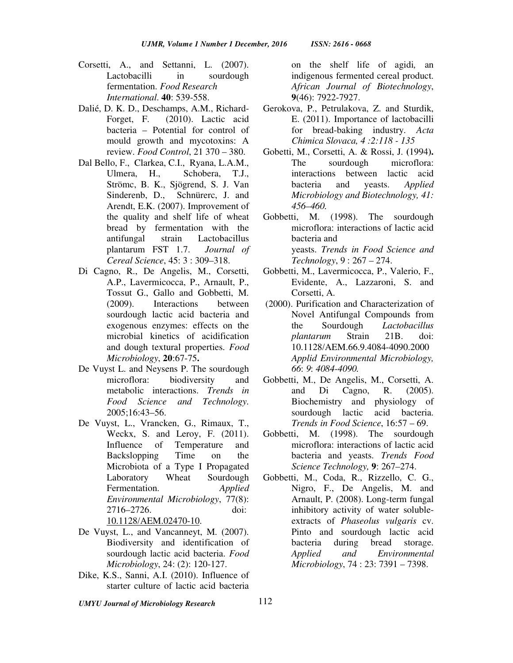- Corsetti, A., and Settanni, L. (2007). Lactobacilli in sourdough fermentation. *Food Research International*. **40**: 539-558.
- Dalié, D. K. D., Deschamps, A.M., Richard-Forget, F. (2010). Lactic acid bacteria – Potential for control of mould growth and mycotoxins: A review. *Food Control*, 21 370 – 380.
- Dal Bello, F., Clarkea, C.I., Ryana, L.A.M., Ulmera, H., Schobera, T.J., Strömc, B. K., Sjögrend, S. J. Van Sinderenb, D., Schnürerc, J. and Arendt, E.K. (2007). Improvement of the quality and shelf life of wheat bread by fermentation with the antifungal strain Lactobacillus plantarum FST 1.7. *Journal of Cereal Science*, 45: 3 : 309–318.
- Di Cagno, R., De Angelis, M., Corsetti, A.P., Lavermicocca, P., Arnault, P., Tossut G., Gallo and Gobbetti, M. (2009). Interactions between sourdough lactic acid bacteria and exogenous enzymes: effects on the microbial kinetics of acidification and dough textural properties. *Food Microbiology*, **20**:67-75**.**
- De Vuyst L. and Neysens P. The sourdough microflora: biodiversity and metabolic interactions. *Trends in Food Science and Technology*. 2005;16:43–56.
- De Vuyst, L., Vrancken, G., Rimaux, T., Weckx, S. and Leroy, F. (2011). Influence of Temperature and Backslopping Time on the Microbiota of a Type I Propagated Laboratory Wheat Sourdough Fermentation. *Applied Environmental Microbiology*, 77(8): 2716–2726. doi: 10.1128/AEM.02470-10.
- De Vuyst, L., and Vancanneyt, M. (2007). Biodiversity and identification of sourdough lactic acid bacteria. *Food Microbiology*, 24: (2): 120-127.
- Dike, K.S., Sanni, A.I. (2010). Influence of starter culture of lactic acid bacteria
- *UMYU Journal of Microbiology Research*

on the shelf life of agidi*,* an indigenous fermented cereal product. *African Journal of Biotechnology*, **9**(46): 7922-7927.

- Gerokova, P., Petrulakova, Z. and Sturdik, E. (2011). Importance of lactobacilli for bread-baking industry. *Acta Chimica Slovaca, 4 :2:118 - 135*
- Gobetti, M., Corsetti, A. & Rossi, J. **(**1994**).** The sourdough microflora: interactions between lactic acid bacteria and yeasts. *Applied Microbiology and Biotechnology, 41: 456–460.*
- Gobbetti, M. (1998). The sourdough microflora: interactions of lactic acid bacteria and yeasts. *Trends in Food Science and Technology*, 9 : 267 – 274.
- Gobbetti, M., Lavermicocca, P., Valerio, F., Evidente, A., Lazzaroni, S. and Corsetti, A.
- (2000). Purification and Characterization of Novel Antifungal Compounds from the Sourdough *Lactobacillus plantarum* Strain 21B. doi: 10.1128/AEM.66.9.4084-4090.2000 *Applid Environmental Microbiology, 66*: *9*: *4084-4090.*
- Gobbetti, M., De Angelis, M., Corsetti, A. and Di Cagno, R. (2005). Biochemistry and physiology of sourdough lactic acid bacteria. *Trends in Food Science*, 16:57 – 69.
- Gobbetti, M. (1998). The sourdough microflora: interactions of lactic acid bacteria and yeasts. *Trends Food Science Technology,* **9**: 267–274.
- Gobbetti, M., Coda, R., Rizzello, C. G., Nigro, F., De Angelis, M. and Arnault, P. (2008). Long-term fungal inhibitory activity of water solubleextracts of *Phaseolus vulgaris* cv. Pinto and sourdough lactic acid bacteria during bread storage. *Applied and Environmental Microbiology*, 74 : 23: 7391 – 7398.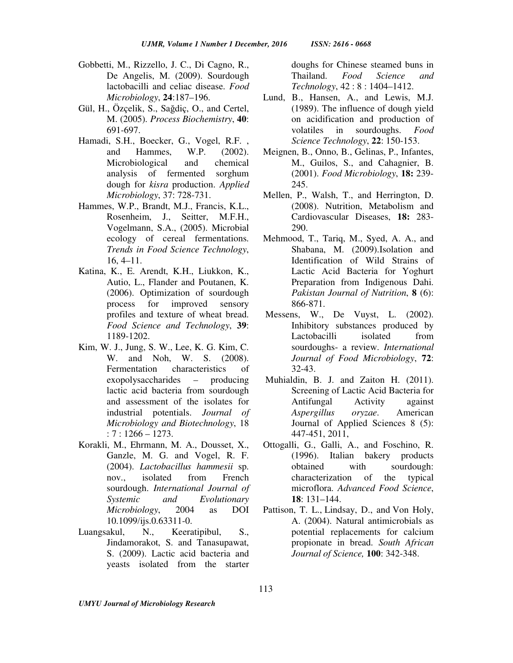- Gobbetti, M., Rizzello, J. C., Di Cagno, R., De Angelis, M. (2009). Sourdough lactobacilli and celiac disease. *Food Microbiology*, **24**:187–196.
- Gül, H., Özçelik, S., Sağdiç, O., and Certel, M. (2005). *Process Biochemistry*, **40**: 691-697.
- Hamadi, S.H., Boecker, G., Vogel, R.F. , and Hammes, W.P. (2002). Microbiological and chemical analysis of fermented sorghum dough for *kisra* production. *Applied Microbiology*, 37: 728-731.
- Hammes, W.P., Brandt, M.J., Francis, K.L., Rosenheim, J., Seitter, M.F.H., Vogelmann, S.A., (2005). Microbial ecology of cereal fermentations. *Trends in Food Science Technology*, 16, 4–11.
- Katina, K., E. Arendt, K.H., Liukkon, K., Autio, L., Flander and Poutanen, K. (2006). Optimization of sourdough process for improved sensory profiles and texture of wheat bread. *Food Science and Technology*, **39**: 1189-1202.
- Kim, W. J., Jung, S. W., Lee, K. G. Kim, C. W. and Noh, W. S. (2008). Fermentation characteristics of exopolysaccharides – producing lactic acid bacteria from sourdough and assessment of the isolates for industrial potentials. *Journal of Microbiology and Biotechnology*, 18 :  $7:1266 - 1273$ .
- Korakli, M., Ehrmann, M. A., Dousset, X., Ganzle, M. G. and Vogel, R. F. (2004). *Lactobacillus hammesii* sp. nov., isolated from French sourdough. *International Journal of Systemic and Evolutionary Microbiology*, 2004 as DOI 10.1099/ijs.0.63311-0.
- Luangsakul, N., Keeratipibul, S., Jindamorakot, S. and Tanasupawat, S. (2009). Lactic acid bacteria and yeasts isolated from the starter

doughs for Chinese steamed buns in Thailand. *Food Science and Technology*, 42 : 8 : 1404–1412.

- Lund, B., Hansen, A., and Lewis, M.J. (1989). The influence of dough yield on acidification and production of volatiles in sourdoughs. *Food Science Technology*, **22**: 150-153.
- Meignen, B., Onno, B., Gelinas, P., Infantes, M., Guilos, S., and Cahagnier, B. (2001). *Food Microbiology*, **18:** 239- 245.
- Mellen, P., Walsh, T., and Herrington, D. (2008). Nutrition, Metabolism and Cardiovascular Diseases, **18:** 283- 290.
- Mehmood, T., Tariq, M., Syed, A. A., and Shabana, M. (2009).Isolation and Identification of Wild Strains of Lactic Acid Bacteria for Yoghurt Preparation from Indigenous Dahi. *Pakistan Journal of Nutrition*, **8** (6): 866-871.
- Messens, W., De Vuyst, L. (2002). Inhibitory substances produced by Lactobacilli isolated from sourdoughs- a review. *International Journal of Food Microbiology*, **72**: 32-43.
- Muhialdin, B. J. and Zaiton H. (2011). Screening of Lactic Acid Bacteria for Antifungal Activity against *Aspergillus oryzae*. American Journal of Applied Sciences 8 (5): 447-451, 2011,
- Ottogalli, G., Galli, A., and Foschino, R. (1996). Italian bakery products obtained with sourdough: characterization of the typical microflora. *Advanced Food Science*, **18**: 131–144.
- Pattison, T. L., Lindsay, D., and Von Holy, A. (2004). Natural antimicrobials as potential replacements for calcium propionate in bread. *South African Journal of Science,* **100**: 342-348.